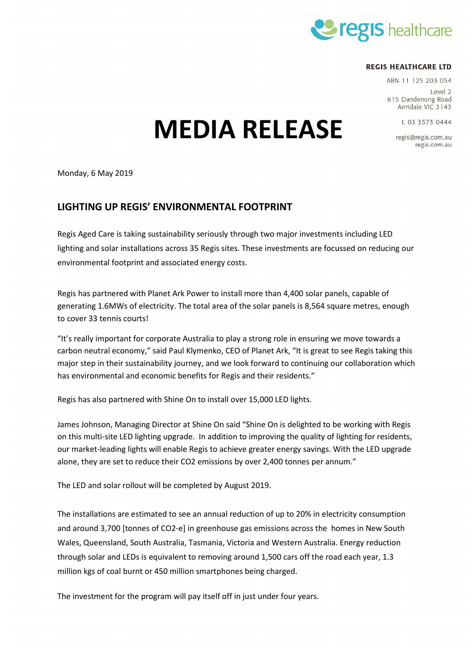

## **REGIS HEALTHCARE LTD**

ABN 11 125 203 054

Level 2 615 Dandenong Road Armdale VIC 3143

t. 03 3573 0444

regis@regis.com.au regis.com.au

MEDIA RELEASE

Monday, 6 May 2019

# LIGHTING UP REGIS' ENVIRONMENTAL FOOTPRINT

Regis Aged Care is taking sustainability seriously through two major investments including LED lighting and solar installations across 35 Regis sites. These investments are focussed on reducing our environmental footprint and associated energy costs.

Regis has partnered with Planet Ark Power to install more than 4,400 solar panels, capable of generating 1.6MWs of electricity. The total area of the solar panels is 8,564 square metres, enough to cover 33 tennis courts!

"It's really important for corporate Australia to play a strong role in ensuring we move towards a carbon neutral economy," said Paul Klymenko, CEO of Planet Ark, "It is great to see Regis taking this major step in their sustainability journey, and we look forward to continuing our collaboration which has environmental and economic benefits for Regis and their residents."

Regis has also partnered with Shine On to install over 15,000 LED lights.

James Johnson, Managing Director at Shine On said "Shine On is delighted to be working with Regis on this multi-site LED lighting upgrade. In addition to improving the quality of lighting for residents, our market-leading lights will enable Regis to achieve greater energy savings. With the LED upgrade alone, they are set to reduce their CO2 emissions by over 2,400 tonnes per annum."

The LED and solar rollout will be completed by August 2019.

The installations are estimated to see an annual reduction of up to 20% in electricity consumption and around 3,700 [tonnes of CO2-e] in greenhouse gas emissions across the homes in New South Wales, Queensland, South Australia, Tasmania, Victoria and Western Australia. Energy reduction through solar and LEDs is equivalent to removing around 1,500 cars off the road each year, 1.3 million kgs of coal burnt or 450 million smartphones being charged.

The investment for the program will pay itself off in just under four years.